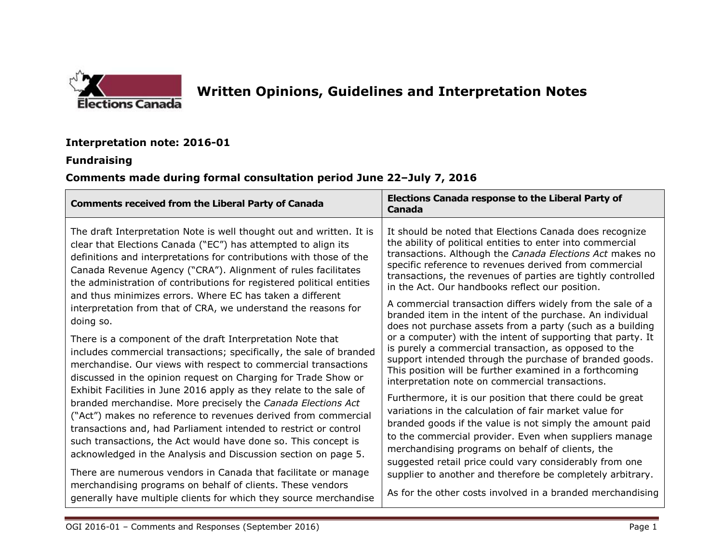

# **Written Opinions, Guidelines and Interpretation Notes**

### **Interpretation note: 2016-01**

#### **Fundraising**

## **Comments made during formal consultation period June 22–July 7, 2016**

| <b>Comments received from the Liberal Party of Canada</b>                                                                                                                                                                                                                                                                                                                                                                                                                                                                                                                                                                                                                                                                                                                                                                                                                                                                                                                                                                                                                                                                                                                                                                                                                                                                    | <b>Elections Canada response to the Liberal Party of</b><br>Canada                                                                                                                                                                                                                                                                                                                                                                                                                                                                                                                                                                                                                                                                                                                                                                                                                                                                                                                                                                                                                                                                                                                                                                                                                                                                              |
|------------------------------------------------------------------------------------------------------------------------------------------------------------------------------------------------------------------------------------------------------------------------------------------------------------------------------------------------------------------------------------------------------------------------------------------------------------------------------------------------------------------------------------------------------------------------------------------------------------------------------------------------------------------------------------------------------------------------------------------------------------------------------------------------------------------------------------------------------------------------------------------------------------------------------------------------------------------------------------------------------------------------------------------------------------------------------------------------------------------------------------------------------------------------------------------------------------------------------------------------------------------------------------------------------------------------------|-------------------------------------------------------------------------------------------------------------------------------------------------------------------------------------------------------------------------------------------------------------------------------------------------------------------------------------------------------------------------------------------------------------------------------------------------------------------------------------------------------------------------------------------------------------------------------------------------------------------------------------------------------------------------------------------------------------------------------------------------------------------------------------------------------------------------------------------------------------------------------------------------------------------------------------------------------------------------------------------------------------------------------------------------------------------------------------------------------------------------------------------------------------------------------------------------------------------------------------------------------------------------------------------------------------------------------------------------|
| The draft Interpretation Note is well thought out and written. It is<br>clear that Elections Canada ("EC") has attempted to align its<br>definitions and interpretations for contributions with those of the<br>Canada Revenue Agency ("CRA"). Alignment of rules facilitates<br>the administration of contributions for registered political entities<br>and thus minimizes errors. Where EC has taken a different<br>interpretation from that of CRA, we understand the reasons for<br>doing so.<br>There is a component of the draft Interpretation Note that<br>includes commercial transactions; specifically, the sale of branded<br>merchandise. Our views with respect to commercial transactions<br>discussed in the opinion request on Charging for Trade Show or<br>Exhibit Facilities in June 2016 apply as they relate to the sale of<br>branded merchandise. More precisely the Canada Elections Act<br>("Act") makes no reference to revenues derived from commercial<br>transactions and, had Parliament intended to restrict or control<br>such transactions, the Act would have done so. This concept is<br>acknowledged in the Analysis and Discussion section on page 5.<br>There are numerous vendors in Canada that facilitate or manage<br>merchandising programs on behalf of clients. These vendors | It should be noted that Elections Canada does recognize<br>the ability of political entities to enter into commercial<br>transactions. Although the Canada Elections Act makes no<br>specific reference to revenues derived from commercial<br>transactions, the revenues of parties are tightly controlled<br>in the Act. Our handbooks reflect our position.<br>A commercial transaction differs widely from the sale of a<br>branded item in the intent of the purchase. An individual<br>does not purchase assets from a party (such as a building<br>or a computer) with the intent of supporting that party. It<br>is purely a commercial transaction, as opposed to the<br>support intended through the purchase of branded goods.<br>This position will be further examined in a forthcoming<br>interpretation note on commercial transactions.<br>Furthermore, it is our position that there could be great<br>variations in the calculation of fair market value for<br>branded goods if the value is not simply the amount paid<br>to the commercial provider. Even when suppliers manage<br>merchandising programs on behalf of clients, the<br>suggested retail price could vary considerably from one<br>supplier to another and therefore be completely arbitrary.<br>As for the other costs involved in a branded merchandising |
| generally have multiple clients for which they source merchandise                                                                                                                                                                                                                                                                                                                                                                                                                                                                                                                                                                                                                                                                                                                                                                                                                                                                                                                                                                                                                                                                                                                                                                                                                                                            |                                                                                                                                                                                                                                                                                                                                                                                                                                                                                                                                                                                                                                                                                                                                                                                                                                                                                                                                                                                                                                                                                                                                                                                                                                                                                                                                                 |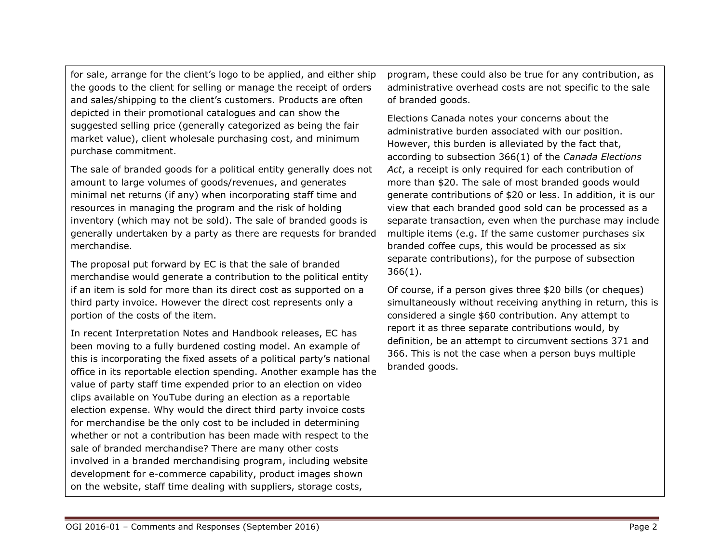| for sale, arrange for the client's logo to be applied, and either ship                                                                                                                                                                                                                                                                                                                                                                                                                                                                                                                                                                                                                                                                                                                                                                                                                       | program, these could also be true for any contribution, as                                                                                                                                 |
|----------------------------------------------------------------------------------------------------------------------------------------------------------------------------------------------------------------------------------------------------------------------------------------------------------------------------------------------------------------------------------------------------------------------------------------------------------------------------------------------------------------------------------------------------------------------------------------------------------------------------------------------------------------------------------------------------------------------------------------------------------------------------------------------------------------------------------------------------------------------------------------------|--------------------------------------------------------------------------------------------------------------------------------------------------------------------------------------------|
| the goods to the client for selling or manage the receipt of orders                                                                                                                                                                                                                                                                                                                                                                                                                                                                                                                                                                                                                                                                                                                                                                                                                          | administrative overhead costs are not specific to the sale                                                                                                                                 |
| and sales/shipping to the client's customers. Products are often                                                                                                                                                                                                                                                                                                                                                                                                                                                                                                                                                                                                                                                                                                                                                                                                                             | of branded goods.                                                                                                                                                                          |
| depicted in their promotional catalogues and can show the                                                                                                                                                                                                                                                                                                                                                                                                                                                                                                                                                                                                                                                                                                                                                                                                                                    | Elections Canada notes your concerns about the                                                                                                                                             |
| suggested selling price (generally categorized as being the fair                                                                                                                                                                                                                                                                                                                                                                                                                                                                                                                                                                                                                                                                                                                                                                                                                             | administrative burden associated with our position.                                                                                                                                        |
| market value), client wholesale purchasing cost, and minimum                                                                                                                                                                                                                                                                                                                                                                                                                                                                                                                                                                                                                                                                                                                                                                                                                                 | However, this burden is alleviated by the fact that,                                                                                                                                       |
| purchase commitment.                                                                                                                                                                                                                                                                                                                                                                                                                                                                                                                                                                                                                                                                                                                                                                                                                                                                         | according to subsection 366(1) of the Canada Elections                                                                                                                                     |
| The sale of branded goods for a political entity generally does not                                                                                                                                                                                                                                                                                                                                                                                                                                                                                                                                                                                                                                                                                                                                                                                                                          | Act, a receipt is only required for each contribution of                                                                                                                                   |
| amount to large volumes of goods/revenues, and generates                                                                                                                                                                                                                                                                                                                                                                                                                                                                                                                                                                                                                                                                                                                                                                                                                                     | more than \$20. The sale of most branded goods would                                                                                                                                       |
| minimal net returns (if any) when incorporating staff time and                                                                                                                                                                                                                                                                                                                                                                                                                                                                                                                                                                                                                                                                                                                                                                                                                               | generate contributions of \$20 or less. In addition, it is our                                                                                                                             |
| resources in managing the program and the risk of holding                                                                                                                                                                                                                                                                                                                                                                                                                                                                                                                                                                                                                                                                                                                                                                                                                                    | view that each branded good sold can be processed as a                                                                                                                                     |
| inventory (which may not be sold). The sale of branded goods is                                                                                                                                                                                                                                                                                                                                                                                                                                                                                                                                                                                                                                                                                                                                                                                                                              | separate transaction, even when the purchase may include                                                                                                                                   |
| generally undertaken by a party as there are requests for branded                                                                                                                                                                                                                                                                                                                                                                                                                                                                                                                                                                                                                                                                                                                                                                                                                            | multiple items (e.g. If the same customer purchases six                                                                                                                                    |
| merchandise.                                                                                                                                                                                                                                                                                                                                                                                                                                                                                                                                                                                                                                                                                                                                                                                                                                                                                 | branded coffee cups, this would be processed as six                                                                                                                                        |
| The proposal put forward by EC is that the sale of branded                                                                                                                                                                                                                                                                                                                                                                                                                                                                                                                                                                                                                                                                                                                                                                                                                                   | separate contributions), for the purpose of subsection                                                                                                                                     |
| merchandise would generate a contribution to the political entity                                                                                                                                                                                                                                                                                                                                                                                                                                                                                                                                                                                                                                                                                                                                                                                                                            | $366(1)$ .                                                                                                                                                                                 |
| if an item is sold for more than its direct cost as supported on a                                                                                                                                                                                                                                                                                                                                                                                                                                                                                                                                                                                                                                                                                                                                                                                                                           | Of course, if a person gives three \$20 bills (or cheques)                                                                                                                                 |
| third party invoice. However the direct cost represents only a                                                                                                                                                                                                                                                                                                                                                                                                                                                                                                                                                                                                                                                                                                                                                                                                                               | simultaneously without receiving anything in return, this is                                                                                                                               |
| portion of the costs of the item.                                                                                                                                                                                                                                                                                                                                                                                                                                                                                                                                                                                                                                                                                                                                                                                                                                                            | considered a single \$60 contribution. Any attempt to                                                                                                                                      |
| In recent Interpretation Notes and Handbook releases, EC has<br>been moving to a fully burdened costing model. An example of<br>this is incorporating the fixed assets of a political party's national<br>office in its reportable election spending. Another example has the<br>value of party staff time expended prior to an election on video<br>clips available on YouTube during an election as a reportable<br>election expense. Why would the direct third party invoice costs<br>for merchandise be the only cost to be included in determining<br>whether or not a contribution has been made with respect to the<br>sale of branded merchandise? There are many other costs<br>involved in a branded merchandising program, including website<br>development for e-commerce capability, product images shown<br>on the website, staff time dealing with suppliers, storage costs, | report it as three separate contributions would, by<br>definition, be an attempt to circumvent sections 371 and<br>366. This is not the case when a person buys multiple<br>branded goods. |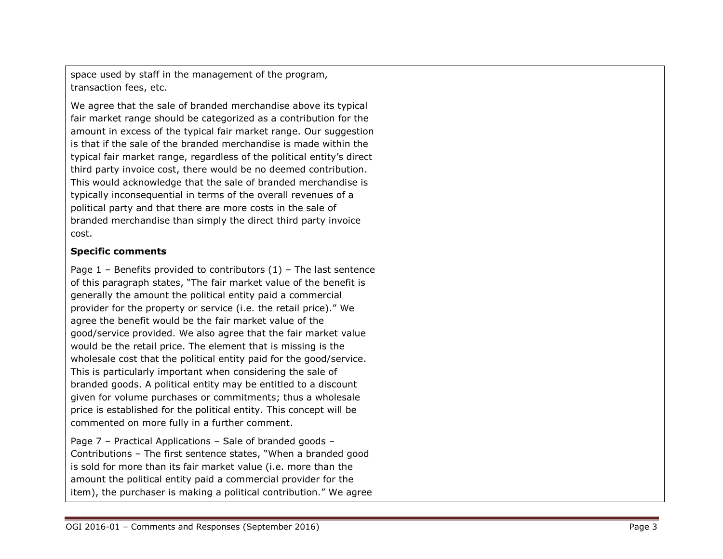space used by staff in the management of the program, transaction fees, etc.

We agree that the sale of branded merchandise above its typical fair market range should be categorized as a contribution for the amount in excess of the typical fair market range. Our suggestion is that if the sale of the branded merchandise is made within the typical fair market range, regardless of the political entity's direct third party invoice cost , there would be no deemed contribution. This would acknowledge that the sale of branded merchandise is typically inconsequential in terms of the overall revenues of a political party and that there are more costs in the sale of branded merchandise than simply the direct third party invoice cost.

#### **Specific comments**

Page 1 – Benefits provided to contributors (1) – The last sentence of this paragraph states , "The fair market value of the benefit is generally the amount the political entity paid a commercial provider for the property or service (i.e. the retail price)." We agree the benefit would be the fair market value of the good/service provided. We also agree that th e fair market value would be the retail price. The element that is missing is the wholesale cost that the political entity paid for the good/service. This is particularly important when considering the sale of branded goods. A political entity may be entitled to a discount given for volume purchases or commitments ; thus a wholesale price is established for the political entity. This concept will be commented on more fully in a further comment.

Page 7 – Practical Applications – Sale of branded goods – Contributions – The first sentence states , "When a branded good is sold for more than its fair market value (i.e. more than the amount the political entity paid a commercial provider for the item), the purchaser is making a political contribution. " We agree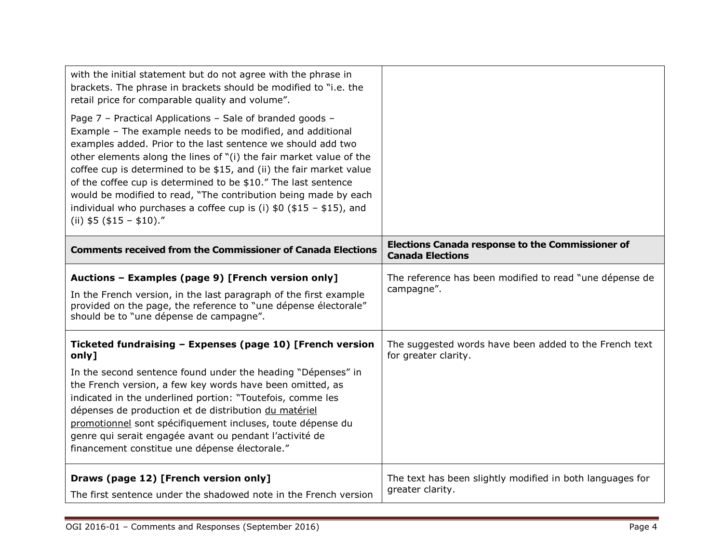| with the initial statement but do not agree with the phrase in<br>brackets. The phrase in brackets should be modified to "i.e. the<br>retail price for comparable quality and volume".<br>Page 7 - Practical Applications - Sale of branded goods -<br>Example - The example needs to be modified, and additional<br>examples added. Prior to the last sentence we should add two<br>other elements along the lines of "(i) the fair market value of the<br>coffee cup is determined to be \$15, and (ii) the fair market value<br>of the coffee cup is determined to be \$10." The last sentence<br>would be modified to read, "The contribution being made by each<br>individual who purchases a coffee cup is (i) $$0$ (\$15 - \$15), and<br>(ii) $$5$ ( $$15 - $10$ )." |                                                                                    |
|-----------------------------------------------------------------------------------------------------------------------------------------------------------------------------------------------------------------------------------------------------------------------------------------------------------------------------------------------------------------------------------------------------------------------------------------------------------------------------------------------------------------------------------------------------------------------------------------------------------------------------------------------------------------------------------------------------------------------------------------------------------------------------|------------------------------------------------------------------------------------|
| <b>Comments received from the Commissioner of Canada Elections</b>                                                                                                                                                                                                                                                                                                                                                                                                                                                                                                                                                                                                                                                                                                          | <b>Elections Canada response to the Commissioner of</b><br><b>Canada Elections</b> |
| Auctions - Examples (page 9) [French version only]<br>In the French version, in the last paragraph of the first example<br>provided on the page, the reference to "une dépense électorale"<br>should be to "une dépense de campagne".                                                                                                                                                                                                                                                                                                                                                                                                                                                                                                                                       | The reference has been modified to read "une dépense de<br>campagne".              |
| Ticketed fundraising - Expenses (page 10) [French version<br>only]<br>In the second sentence found under the heading "Dépenses" in<br>the French version, a few key words have been omitted, as<br>indicated in the underlined portion: "Toutefois, comme les<br>dépenses de production et de distribution du matériel<br>promotionnel sont spécifiquement incluses, toute dépense du<br>genre qui serait engagée avant ou pendant l'activité de<br>financement constitue une dépense électorale."                                                                                                                                                                                                                                                                          | The suggested words have been added to the French text<br>for greater clarity.     |
| Draws (page 12) [French version only]<br>The first sentence under the shadowed note in the French version                                                                                                                                                                                                                                                                                                                                                                                                                                                                                                                                                                                                                                                                   | The text has been slightly modified in both languages for<br>greater clarity.      |